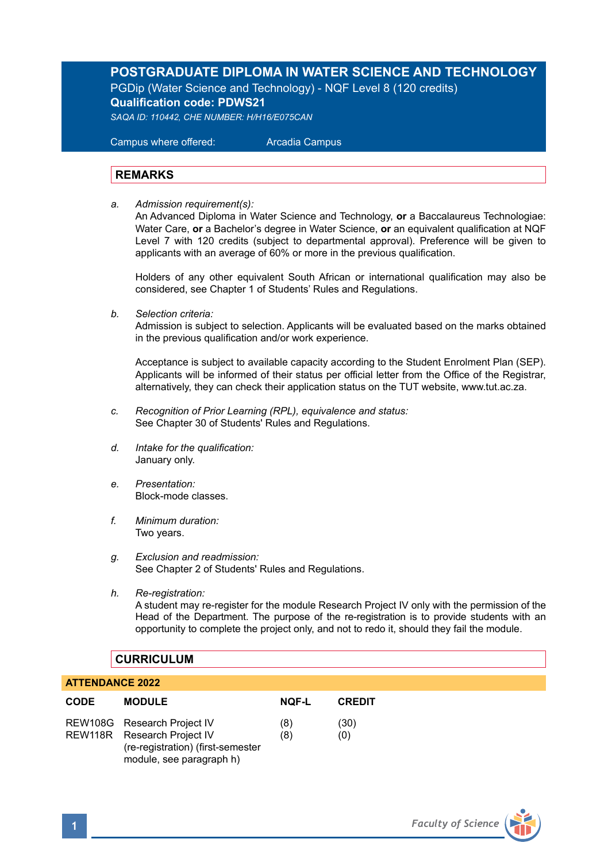# **POSTGRADUATE DIPLOMA IN WATER SCIENCE AND TECHNOLOGY**

PGDip (Water Science and Technology) - NQF Level 8 (120 credits) **Qualification code: PDWS21** *SAQA ID: 110442, CHE NUMBER: H/H16/E075CAN*

 Campus where offered: Arcadia Campus

### **REMARKS**

*a. Admission requirement(s):* 

An Advanced Diploma in Water Science and Technology, **or** a Baccalaureus Technologiae: Water Care, **or** a Bachelor's degree in Water Science, **or** an equivalent qualification at NQF Level 7 with 120 credits (subject to departmental approval). Preference will be given to applicants with an average of 60% or more in the previous qualification.

Holders of any other equivalent South African or international qualification may also be considered, see Chapter 1 of Students' Rules and Regulations.

*b. Selection criteria:*

Admission is subject to selection. Applicants will be evaluated based on the marks obtained in the previous qualification and/or work experience.

Acceptance is subject to available capacity according to the Student Enrolment Plan (SEP). Applicants will be informed of their status per official letter from the Office of the Registrar, alternatively, they can check their application status on the TUT website, www.tut.ac.za.

- *c. Recognition of Prior Learning (RPL), equivalence and status:* See Chapter 30 of Students' Rules and Regulations.
- *d. Intake for the qualification:* January only.
- *e. Presentation:* Block-mode classes.
- *f. Minimum duration:* Two years.
- *g. Exclusion and readmission:* See Chapter 2 of Students' Rules and Regulations.
- *h. Re-registration:*

A student may re-register for the module Research Project IV only with the permission of the Head of the Department. The purpose of the re-registration is to provide students with an opportunity to complete the project only, and not to redo it, should they fail the module.

#### **CURRICULUM**

#### **ATTENDANCE 2022**

| <b>CODE</b> | <b>MODULE</b>                                                                                                               | <b>NQF-L</b> | <b>CREDIT</b> |
|-------------|-----------------------------------------------------------------------------------------------------------------------------|--------------|---------------|
|             | REW108G Research Project IV<br>REW118R Research Project IV<br>(re-registration) (first-semester<br>module, see paragraph h) | (8)<br>(8)   | (30)<br>(0)   |

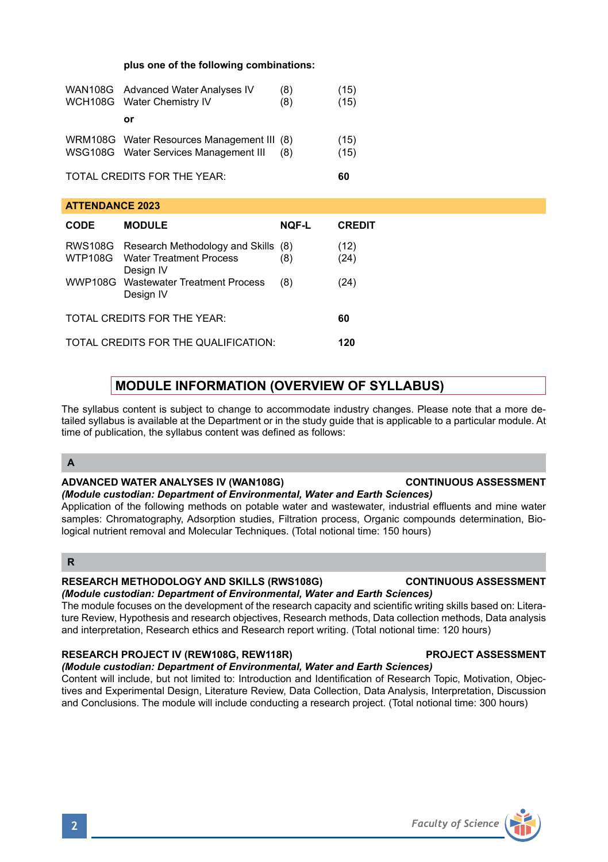# **plus one of the following combinations:**

|                             | WAN108G Advanced Water Analyses IV<br>WCH108G Water Chemistry IV                    | (8)<br>(8) | (15)<br>(15) |
|-----------------------------|-------------------------------------------------------------------------------------|------------|--------------|
|                             | ٥r                                                                                  |            |              |
|                             | WRM108G Water Resources Management III (8)<br>WSG108G Water Services Management III | (8)        | (15)<br>(15) |
| TOTAL CREDITS FOR THE YEAR: |                                                                                     |            |              |

**ATTENDANCE 2023** 

| <b>CODE</b>                          | <b>MODULE</b>                                                                               | <b>NQF-L</b> | <b>CREDIT</b> |
|--------------------------------------|---------------------------------------------------------------------------------------------|--------------|---------------|
|                                      | RWS108G Research Methodology and Skills (8)<br>WTP108G Water Treatment Process<br>Design IV | (8)          | (12)<br>(24)  |
|                                      | WWP108G Wastewater Treatment Process<br>Design IV                                           | (8)          | (24)          |
| TOTAL CREDITS FOR THE YEAR:          |                                                                                             |              |               |
| TOTAL CREDITS FOR THE QUALIFICATION: |                                                                                             |              |               |

# **MODULE INFORMATION (OVERVIEW OF SYLLABUS)**

The syllabus content is subject to change to accommodate industry changes. Please note that a more detailed syllabus is available at the Department or in the study guide that is applicable to a particular module. At time of publication, the syllabus content was defined as follows:

#### **A**

#### **ADVANCED WATER ANALYSES IV (WAN108G) CONTINUOUS ASSESSMENT**

# *(Module custodian: Department of Environmental, Water and Earth Sciences)*

Application of the following methods on potable water and wastewater, industrial effluents and mine water samples: Chromatography, Adsorption studies, Filtration process, Organic compounds determination, Biological nutrient removal and Molecular Techniques. (Total notional time: 150 hours)

# **R**

#### **RESEARCH METHODOLOGY AND SKILLS (RWS108G) CONTINUOUS ASSESSMENT**

### *(Module custodian: Department of Environmental, Water and Earth Sciences)*

The module focuses on the development of the research capacity and scientific writing skills based on: Literature Review, Hypothesis and research objectives, Research methods, Data collection methods, Data analysis and interpretation, Research ethics and Research report writing. (Total notional time: 120 hours)

#### **RESEARCH PROJECT IV (REW108G, REW118R) PROJECT ASSESSMENT**

#### *(Module custodian: Department of Environmental, Water and Earth Sciences)*

Content will include, but not limited to: Introduction and Identification of Research Topic, Motivation, Objectives and Experimental Design, Literature Review, Data Collection, Data Analysis, Interpretation, Discussion and Conclusions. The module will include conducting a research project. (Total notional time: 300 hours)